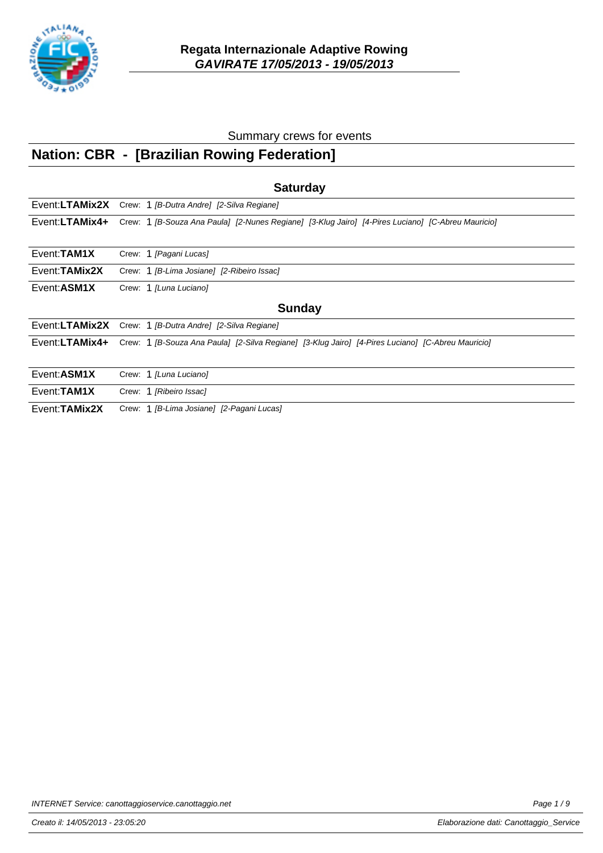

## **Nation: CBR - [Brazilian Rowing Federation]**

| <b>Saturday</b>     |                                                                                                   |  |  |
|---------------------|---------------------------------------------------------------------------------------------------|--|--|
|                     | Event:LTAMix2X Crew: 1 [B-Dutra Andre] [2-Silva Regiane]                                          |  |  |
| Event:LTAMix4+      | Crew: 1 [B-Souza Ana Paula] [2-Nunes Regiane] [3-Klug Jairo] [4-Pires Luciano] [C-Abreu Mauricio] |  |  |
| Event: <b>TAM1X</b> | Crew: 1 [Pagani Lucas]                                                                            |  |  |
| Event: TAMix2X      | Crew: 1 [B-Lima Josiane] [2-Ribeiro Issac]                                                        |  |  |
| Event: ASM1X        | Crew: 1 [Luna Luciano]                                                                            |  |  |
|                     | <b>Sunday</b>                                                                                     |  |  |
|                     | Event:LTAMix2X Crew: 1 [B-Dutra Andre] [2-Silva Regiane]                                          |  |  |
| Event:LTAMix4+      | Crew: 1 [B-Souza Ana Paula] [2-Silva Regiane] [3-Klug Jairo] [4-Pires Luciano] [C-Abreu Mauricio] |  |  |
| Event: ASM1X        | Crew: 1 [Luna Luciano]                                                                            |  |  |
| Event: TAM1X        | Crew: 1 [Ribeiro Issac]                                                                           |  |  |
| Event: TAMix2X      | Crew: 1 [B-Lima Josiane] [2-Pagani Lucas]                                                         |  |  |

INTERNET Service: canottaggioservice.canottaggio.net example of the example of the Page 1/9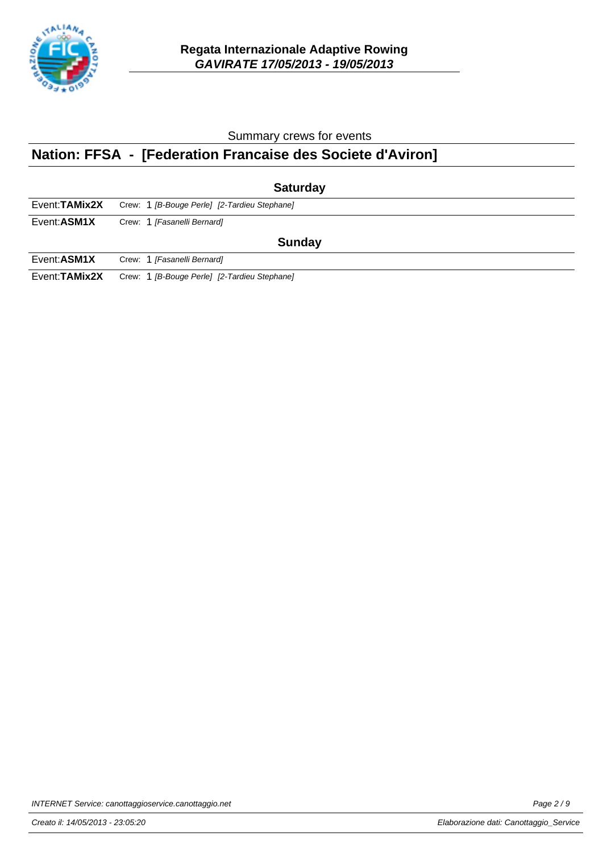

## **Nation: FFSA - [Federation Francaise des Societe d'Aviron]**

| <b>Saturday</b> |                                              |  |  |
|-----------------|----------------------------------------------|--|--|
| Event: TAMix2X  | Crew: 1 [B-Bouge Perle] [2-Tardieu Stephane] |  |  |
| Event:ASM1X     | Crew: 1 [Fasanelli Bernard]                  |  |  |
| <b>Sunday</b>   |                                              |  |  |
| Event:ASM1X     | Crew: 1 [Fasanelli Bernard]                  |  |  |
| Event: TAMix2X  | Crew: 1 [B-Bouge Perle] [2-Tardieu Stephane] |  |  |

INTERNET Service: canottaggioservice.canottaggio.net example and the example of the Page 2 / 9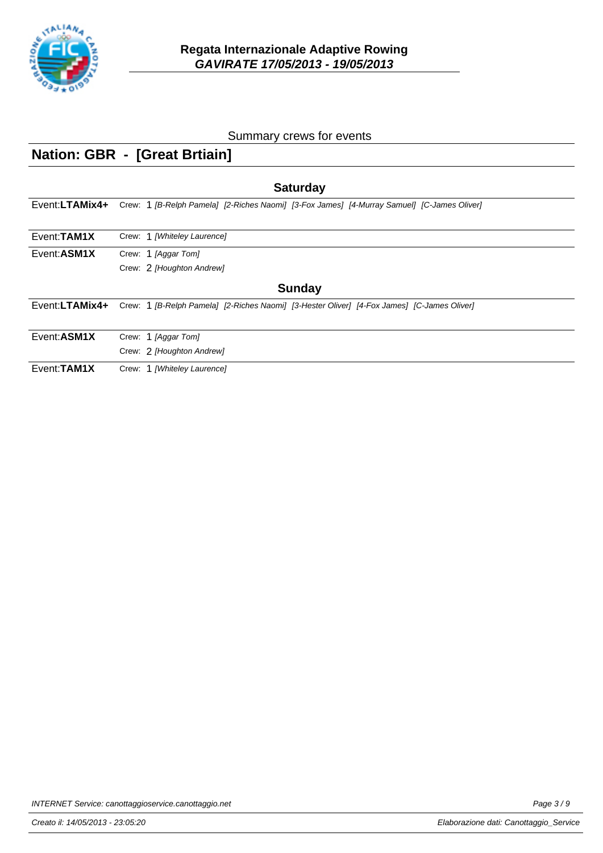

## **Nation: GBR - [Great Brtiain]**

| <b>Saturday</b> |                                                                                            |  |  |
|-----------------|--------------------------------------------------------------------------------------------|--|--|
| Event:LTAMix4+  | Crew: 1 [B-Relph Pamela] [2-Riches Naomi] [3-Fox James] [4-Murray Samuel] [C-James Oliver] |  |  |
| Event: TAM1X    | Crew: 1 [Whiteley Laurence]                                                                |  |  |
| Event: ASM1X    | Crew: 1 [Aggar Tom]<br>Crew: 2 [Houghton Andrew]                                           |  |  |
|                 | <b>Sunday</b>                                                                              |  |  |
| Event:LTAMix4+  | Crew: 1 [B-Relph Pamela] [2-Riches Naomi] [3-Hester Oliver] [4-Fox James] [C-James Oliver] |  |  |
| Event: ASM1X    | Crew: 1 [Aggar Tom]                                                                        |  |  |
|                 | Crew: 2 [Houghton Andrew]                                                                  |  |  |
| Event: TAM1X    | Crew: 1 [Whiteley Laurence]                                                                |  |  |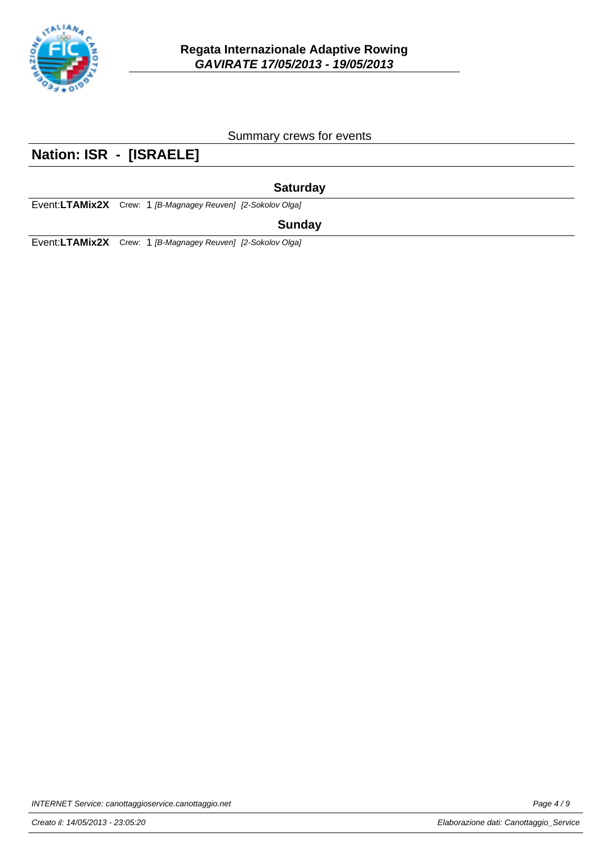

### **Nation: ISR - [ISRAELE]**

#### **Saturday**

Event: LTAMix2X Crew: 1 [B-Magnagey Reuven] [2-Sokolov Olga]

#### **Sunday**

Event:LTAMix2X Crew: 1 [B-Magnagey Reuven] [2-Sokolov Olga]

INTERNET Service: canottaggioservice.canottaggio.net example of the example of the Page 4/9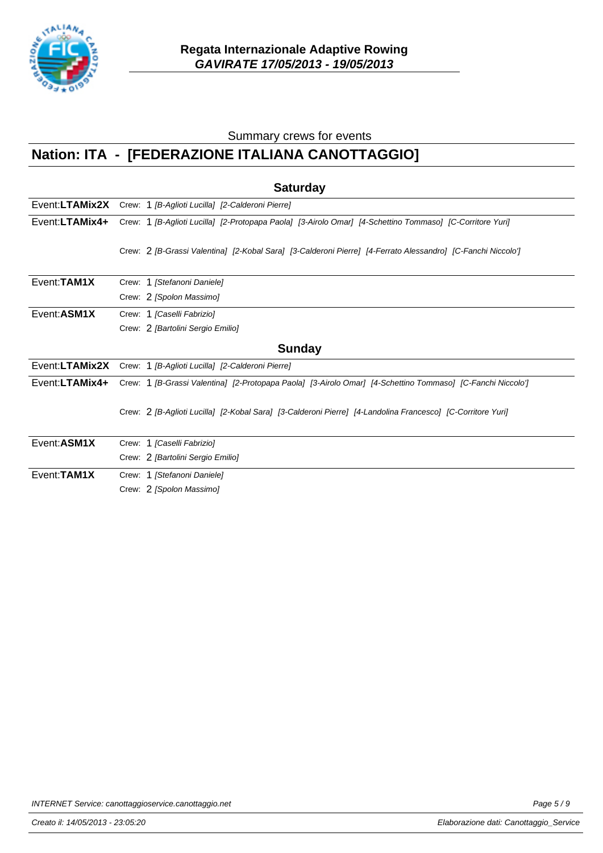

# **Nation: ITA - [FEDERAZIONE ITALIANA CANOTTAGGIO]**

|                | <b>Saturday</b>                                                                                             |  |  |  |
|----------------|-------------------------------------------------------------------------------------------------------------|--|--|--|
|                | Event:LTAMix2X Crew: 1 [B-Aglioti Lucilla] [2-Calderoni Pierre]                                             |  |  |  |
| Event:LTAMix4+ | Crew: 1 [B-Aglioti Lucilla] [2-Protopapa Paola] [3-Airolo Omar] [4-Schettino Tommaso] [C-Corritore Yuri]    |  |  |  |
|                | Crew: 2 [B-Grassi Valentina] [2-Kobal Sara] [3-Calderoni Pierre] [4-Ferrato Alessandro] [C-Fanchi Niccolo'] |  |  |  |
| Event: TAM1X   | Crew: 1 [Stefanoni Daniele]                                                                                 |  |  |  |
|                | Crew: 2 [Spolon Massimo]                                                                                    |  |  |  |
| Event: ASM1X   | Crew: 1 [Caselli Fabrizio]                                                                                  |  |  |  |
|                | Crew: 2 [Bartolini Sergio Emilio]                                                                           |  |  |  |
|                | <b>Sunday</b>                                                                                               |  |  |  |
| Event:LTAMix2X | Crew: 1 [B-Aglioti Lucilla] [2-Calderoni Pierre]                                                            |  |  |  |
| Event:LTAMix4+ | Crew: 1 [B-Grassi Valentina] [2-Protopapa Paola] [3-Airolo Omar] [4-Schettino Tommaso] [C-Fanchi Niccolo']  |  |  |  |
|                | Crew: 2 [B-Aglioti Lucilla] [2-Kobal Sara] [3-Calderoni Pierre] [4-Landolina Francesco] [C-Corritore Yuri]  |  |  |  |
| Event:ASM1X    | Crew: 1 [Caselli Fabrizio]                                                                                  |  |  |  |
|                | Crew: 2 [Bartolini Sergio Emilio]                                                                           |  |  |  |
| Event: TAM1X   | Crew: 1 [Stefanoni Daniele]                                                                                 |  |  |  |
|                | Crew: 2 [Spolon Massimo]                                                                                    |  |  |  |

INTERNET Service: canottaggioservice.canottaggio.net example of the example of the Page 5/9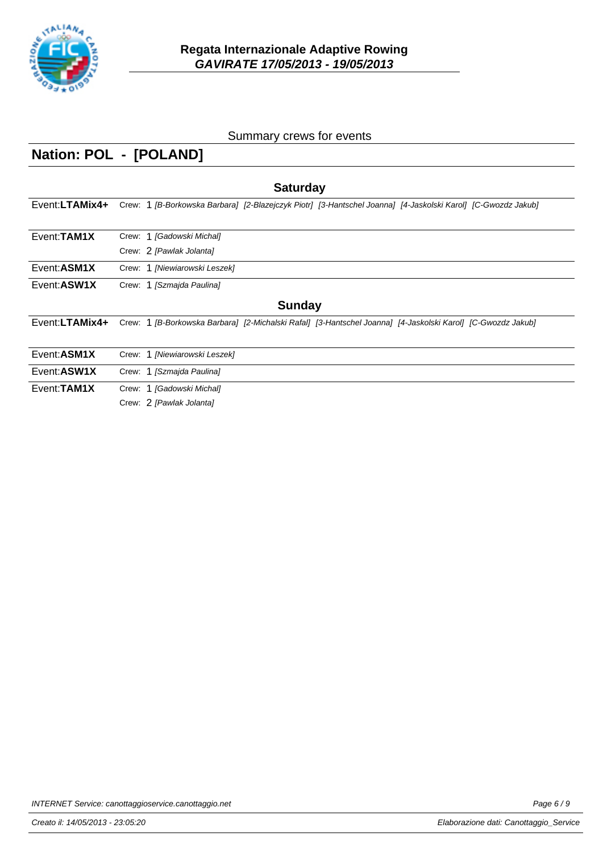

# **Nation: POL - [POLAND]**

| <b>Saturday</b> |                                                                                                              |  |  |
|-----------------|--------------------------------------------------------------------------------------------------------------|--|--|
| Event:LTAMix4+  | Crew: 1 [B-Borkowska Barbara] [2-Blazejczyk Piotr] [3-Hantschel Joanna] [4-Jaskolski Karol] [C-Gwozdz Jakub] |  |  |
| Event: TAM1X    | Crew: 1 [Gadowski Michal]                                                                                    |  |  |
|                 | Crew: 2 [Pawlak Jolanta]                                                                                     |  |  |
| Event: ASM1X    | Crew: 1 [Niewiarowski Leszek]                                                                                |  |  |
| Event: ASW1X    | Crew: 1 [Szmajda Paulina]                                                                                    |  |  |
| <b>Sunday</b>   |                                                                                                              |  |  |
| Event:LTAMix4+  | Crew: 1 [B-Borkowska Barbara] [2-Michalski Rafal] [3-Hantschel Joanna] [4-Jaskolski Karol] [C-Gwozdz Jakub]  |  |  |
| Event: ASM1X    | Crew: 1 [Niewiarowski Leszek]                                                                                |  |  |
| Event: ASW1X    | Crew: 1 [Szmajda Paulina]                                                                                    |  |  |
| Event: TAM1X    | Crew: 1 [Gadowski Michal]                                                                                    |  |  |
|                 | Crew: 2 [Pawlak Jolanta]                                                                                     |  |  |

INTERNET Service: canottaggioservice.canottaggio.net example of the example of the Page 6/9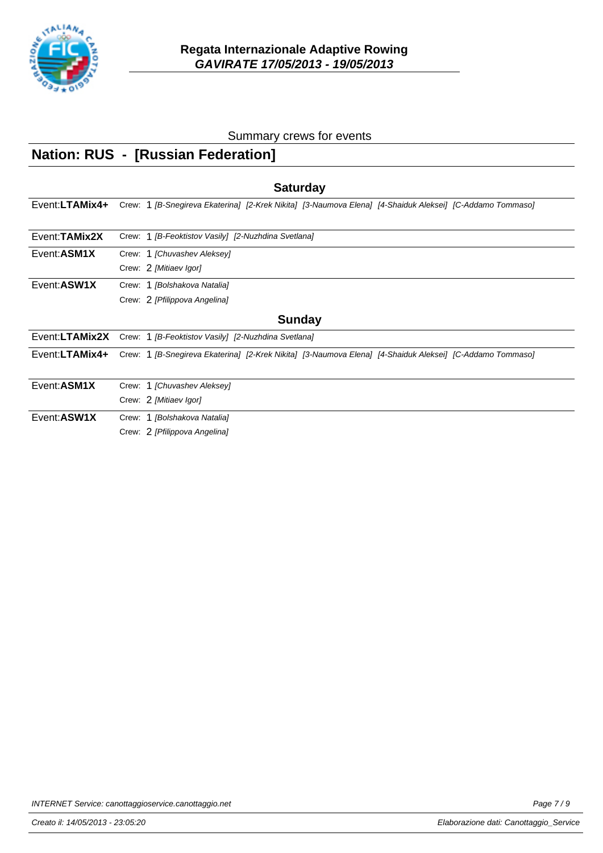

# **Nation: RUS - [Russian Federation]**

| <b>Saturday</b> |                                                                                                          |  |  |
|-----------------|----------------------------------------------------------------------------------------------------------|--|--|
| Event:LTAMix4+  | Crew: 1 [B-Snegireva Ekaterina] [2-Krek Nikita] [3-Naumova Elena] [4-Shaiduk Aleksei] [C-Addamo Tommaso] |  |  |
| Event: TAMix2X  | Crew: 1 [B-Feoktistov Vasily] [2-Nuzhdina Svetlana]                                                      |  |  |
| Event:ASM1X     | Crew: 1 [Chuvashev Aleksey]                                                                              |  |  |
|                 | Crew: 2 [Mitiaev Igor]                                                                                   |  |  |
| Event: ASW1X    | Crew: 1 [Bolshakova Natalia]                                                                             |  |  |
|                 | Crew: 2 [Pfilippova Angelina]                                                                            |  |  |
|                 | <b>Sunday</b>                                                                                            |  |  |
| Event:LTAMix2X  | Crew: 1 [B-Feoktistov Vasily] [2-Nuzhdina Svetlana]                                                      |  |  |
| Event:LTAMix4+  | Crew: 1 [B-Snegireva Ekaterina] [2-Krek Nikita] [3-Naumova Elena] [4-Shaiduk Aleksei] [C-Addamo Tommaso] |  |  |
| Event: ASM1X    | Crew: 1 [Chuvashev Aleksey]                                                                              |  |  |
|                 | Crew: 2 [Mitiaev Igor]                                                                                   |  |  |
| Event: ASW1X    | Crew: 1 [Bolshakova Natalia]                                                                             |  |  |
|                 | Crew: 2 [Pfilippova Angelina]                                                                            |  |  |

INTERNET Service: canottaggioservice.canottaggio.net example of the example of the Page 7/9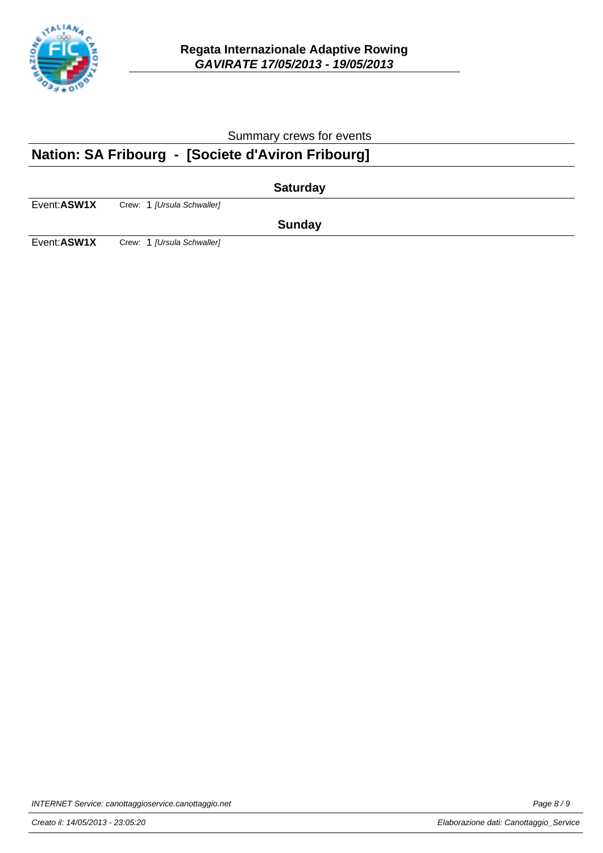

## **Nation: SA Fribourg - [Societe d'Aviron Fribourg]**

|             |                            | <b>Saturday</b> |  |
|-------------|----------------------------|-----------------|--|
| Event:ASW1X | Crew: 1 [Ursula Schwaller] |                 |  |
|             |                            | <b>Sunday</b>   |  |
| Event:ASW1X | Crew: 1 [Ursula Schwaller] |                 |  |

INTERNET Service: canottaggioservice.canottaggio.net example of the example of the Page 8/9